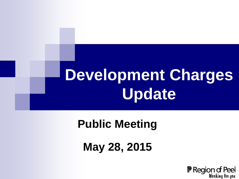# **Development Charges Update**

#### **Public Meeting**

**May 28, 2015**

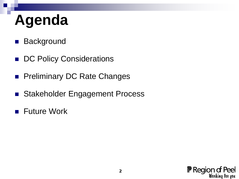# **Agenda**

- **Background**
- DC Policy Considerations
- **Preliminary DC Rate Changes**
- Stakeholder Engagement Process
- **Future Work**

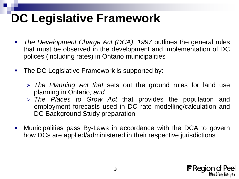### **DC Legislative Framework**

- *The Development Charge Act (DCA), 1997* outlines the general rules that must be observed in the development and implementation of DC polices (including rates) in Ontario municipalities
- The DC Legislative Framework is supported by:
	- *The Planning Act that* sets out the ground rules for land use planning in Ontario*; and*
	- *The Places to Grow Act* that provides the population and employment forecasts used in DC rate modelling/calculation and DC Background Study preparation
- Municipalities pass By-Laws in accordance with the DCA to govern how DCs are applied/administered in their respective jurisdictions

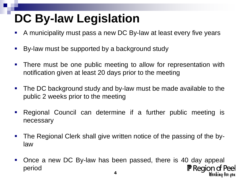## **DC By-law Legislation**

- A municipality must pass a new DC By-law at least every five years
- By-law must be supported by a background study
- **There must be one public meeting to allow for representation with** notification given at least 20 days prior to the meeting
- The DC background study and by-law must be made available to the public 2 weeks prior to the meeting
- Regional Council can determine if a further public meeting is necessary
- **The Regional Clerk shall give written notice of the passing of the by**law
- Once a new DC By-law has been passed, there is 40 day appeal **F** Region of Peel period Wonking fon you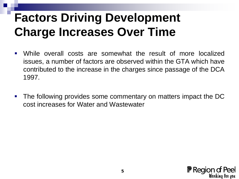### **Factors Driving Development Charge Increases Over Time**

- While overall costs are somewhat the result of more localized issues, a number of factors are observed within the GTA which have contributed to the increase in the charges since passage of the DCA 1997.
- The following provides some commentary on matters impact the DC cost increases for Water and Wastewater

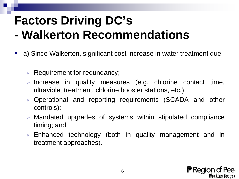#### **Factors Driving DC's - Walkerton Recommendations**

- a) Since Walkerton, significant cost increase in water treatment due
	- $\triangleright$  Requirement for redundancy;
	- $\triangleright$  Increase in quality measures (e.g. chlorine contact time, ultraviolet treatment, chlorine booster stations, etc.);
	- Operational and reporting requirements (SCADA and other controls);
	- Mandated upgrades of systems within stipulated compliance timing; and
	- Enhanced technology (both in quality management and in treatment approaches).

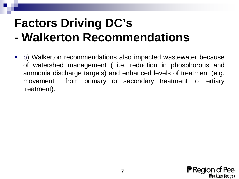#### **Factors Driving DC's - Walkerton Recommendations**

 b) Walkerton recommendations also impacted wastewater because of watershed management ( i.e. reduction in phosphorous and ammonia discharge targets) and enhanced levels of treatment (e.g. movement from primary or secondary treatment to tertiary treatment).

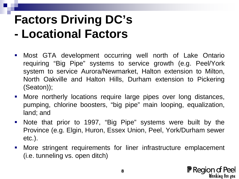#### **Factors Driving DC's - Locational Factors**

- **-** Most GTA development occurring well north of Lake Ontario requiring "Big Pipe" systems to service growth (e.g. Peel/York system to service Aurora/Newmarket, Halton extension to Milton, North Oakville and Halton Hills, Durham extension to Pickering (Seaton));
- **More northerly locations require large pipes over long distances,** pumping, chlorine boosters, "big pipe" main looping, equalization, land; and
- Note that prior to 1997, "Big Pipe" systems were built by the Province (e.g. Elgin, Huron, Essex Union, Peel, York/Durham sewer etc.).
- More stringent requirements for liner infrastructure emplacement (i.e. tunneling vs. open ditch)

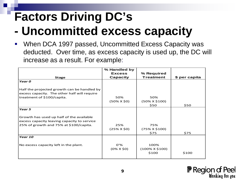## **Factors Driving DC's - Uncommitted excess capacity**

 When DCA 1997 passed, Uncommitted Excess Capacity was deducted. Over time, as excess capacity is used up, the DC will increase as a result. For example:

|                                              | % Handled by       |                       |               |
|----------------------------------------------|--------------------|-----------------------|---------------|
|                                              | <b>Excess</b>      | % Required            |               |
| <b>Stage</b>                                 | <b>Capacity</b>    | <b>Treatment</b>      | \$ per capita |
| Year 0                                       |                    |                       |               |
| Half the projected growth can be handled by  |                    |                       |               |
| excess capacity. The other half will require |                    |                       |               |
| treatment of \$100/capita.                   | 50%                | 50%                   |               |
|                                              | $(50\% \times $0)$ | $(50\% \times $100)$  |               |
|                                              |                    | \$50                  | \$50          |
| Year 5                                       |                    |                       |               |
|                                              |                    |                       |               |
| Growth has used up half of the available     |                    |                       |               |
| excess capacity leaving capacity to service  |                    |                       |               |
| 25% of growth and 75% at \$100/capita.       | 25%                | 75%                   |               |
|                                              | $(25% \times $0)$  | $(75\% \times $100)$  |               |
|                                              |                    | \$75                  | \$75          |
| Year 10                                      |                    |                       |               |
|                                              |                    |                       |               |
| No excess capacity left in the plant.        | $0'$ %             | 100%                  |               |
|                                              | $(0\% \times $0)$  | $(100\% \times $100)$ |               |
|                                              |                    | \$100                 | \$100         |

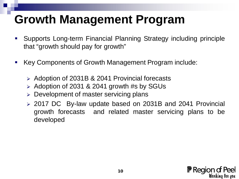#### **Growth Management Program**

- Supports Long-term Financial Planning Strategy including principle that "growth should pay for growth"
- Key Components of Growth Management Program include:
	- Adoption of 2031B & 2041 Provincial forecasts
	- $\geq$  Adoption of 2031 & 2041 growth #s by SGUs
	- Development of master servicing plans
	- 2017 DC By-law update based on 2031B and 2041 Provincial growth forecasts and related master servicing plans to be developed

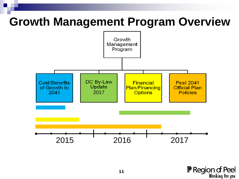#### **Growth Management Program Overview**

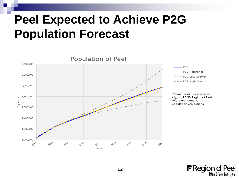#### **Peel Expected to Achieve P2G Population Forecast**





Prosperity at Risk is able to align to P2G's Region of Peel reference scenario population projections

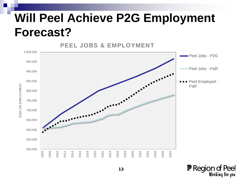#### I **Will Peel Achieve P2G Employment Forecast?**



**F** Region of Peel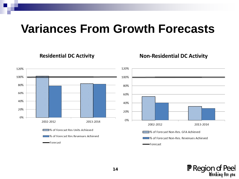#### **Variances From Growth Forecasts**

**Residential DC Activity** 



**F** Region of Peel



#### **Non-Residential DC Activity**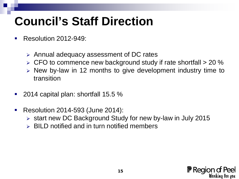#### **Council's Staff Direction**

- Resolution 2012-949:
	- Annual adequacy assessment of DC rates
	- $\triangleright$  CFO to commence new background study if rate shortfall  $>$  20 %
	- $\triangleright$  New by-law in 12 months to give development industry time to transition
- 2014 capital plan: shortfall 15.5 %
- **Resolution 2014-593 (June 2014):** 
	- $\triangleright$  start new DC Background Study for new by-law in July 2015
	- $\triangleright$  BILD notified and in turn notified members

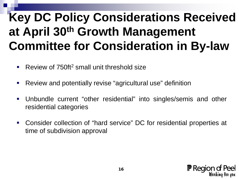### **Key DC Policy Considerations Received at April 30th Growth Management Committee for Consideration in By-law**

- Review of 750ft<sup>2</sup> small unit threshold size
- Review and potentially revise "agricultural use" definition
- Unbundle current "other residential" into singles/semis and other residential categories
- Consider collection of "hard service" DC for residential properties at time of subdivision approval

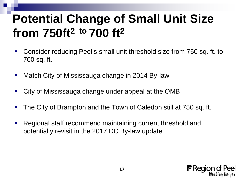#### **Potential Change of Small Unit Size from 750ft2 to 700 ft2**

- Consider reducing Peel's small unit threshold size from 750 sq. ft. to 700 sq. ft.
- Match City of Mississauga change in 2014 By-law
- City of Mississauga change under appeal at the OMB
- **The City of Brampton and the Town of Caledon still at 750 sq. ft.**
- **Regional staff recommend maintaining current threshold and** potentially revisit in the 2017 DC By-law update

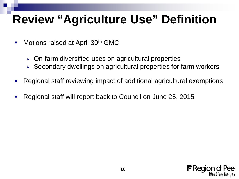#### **Review "Agriculture Use" Definition**

- Motions raised at April 30<sup>th</sup> GMC
	- On-farm diversified uses on agricultural properties
	- $\triangleright$  Secondary dwellings on agricultural properties for farm workers
- Regional staff reviewing impact of additional agricultural exemptions
- Regional staff will report back to Council on June 25, 2015

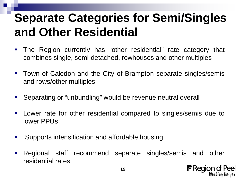#### **Separate Categories for Semi/Singles and Other Residential**

- The Region currently has "other residential" rate category that combines single, semi-detached, rowhouses and other multiples
- **Town of Caledon and the City of Brampton separate singles/semis** and rows/other multiples
- Separating or "unbundling" would be revenue neutral overall
- **Lower rate for other residential compared to singles/semis due to** lower PPUs
- **Supports intensification and affordable housing**
- Regional staff recommend separate singles/semis and other residential rates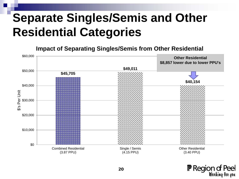#### **Separate Singles/Semis and Other Residential Categories**

**Impact of Separating Singles/Semis from Other Residential** 



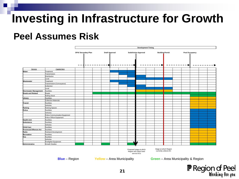#### **Investing in Infrastructure for Growth**

#### **Peel Assumes Risk**

|                                |                                | <b>Development Timing</b> |                                                     |  |  |                             |      |                        |  |                       |  |  |  |  |
|--------------------------------|--------------------------------|---------------------------|-----------------------------------------------------|--|--|-----------------------------|------|------------------------|--|-----------------------|--|--|--|--|
|                                |                                |                           | <b>OPA/ Secondary Plan</b><br><b>Draft Approval</b> |  |  | <b>Subdivision Approval</b> |      | <b>Building Permit</b> |  | <b>Post Occupancy</b> |  |  |  |  |
|                                |                                | -                         |                                                     |  |  |                             |      |                        |  |                       |  |  |  |  |
| Service                        | Capital Item                   |                           |                                                     |  |  |                             |      |                        |  |                       |  |  |  |  |
| Water:                         | Treatment                      |                           |                                                     |  |  |                             |      |                        |  |                       |  |  |  |  |
|                                | Transmission                   |                           |                                                     |  |  |                             |      |                        |  |                       |  |  |  |  |
|                                | Distribution                   |                           |                                                     |  |  |                             |      |                        |  |                       |  |  |  |  |
|                                | Local                          |                           |                                                     |  |  |                             |      |                        |  |                       |  |  |  |  |
| Wastewater                     | Treatment                      |                           |                                                     |  |  |                             |      |                        |  |                       |  |  |  |  |
|                                | Transmission (Conveyance)      |                           |                                                     |  |  |                             |      |                        |  |                       |  |  |  |  |
|                                | Collection                     |                           |                                                     |  |  |                             |      |                        |  |                       |  |  |  |  |
|                                | Local                          |                           |                                                     |  |  |                             |      |                        |  |                       |  |  |  |  |
| <b>Stormwater Management</b>   | Facilities                     |                           |                                                     |  |  |                             |      |                        |  |                       |  |  |  |  |
| <b>Roads and Related</b>       | Roads                          |                           |                                                     |  |  |                             |      |                        |  |                       |  |  |  |  |
|                                | Rolling Stock                  |                           |                                                     |  |  |                             |      |                        |  |                       |  |  |  |  |
| Library                        | Facilities                     |                           |                                                     |  |  |                             |      |                        |  |                       |  |  |  |  |
|                                | Collection Materials           |                           |                                                     |  |  |                             |      |                        |  |                       |  |  |  |  |
| Transit                        | Facilities                     |                           |                                                     |  |  |                             |      |                        |  |                       |  |  |  |  |
|                                | Vehicles                       |                           |                                                     |  |  |                             |      |                        |  |                       |  |  |  |  |
| Parking                        | Parking Spaces                 |                           |                                                     |  |  |                             |      |                        |  |                       |  |  |  |  |
| Police                         | Facilities                     |                           |                                                     |  |  |                             |      |                        |  |                       |  |  |  |  |
|                                | Vehicles                       |                           |                                                     |  |  |                             |      |                        |  |                       |  |  |  |  |
|                                | Police Communication Equipment |                           |                                                     |  |  |                             |      |                        |  |                       |  |  |  |  |
|                                | Police Officer Equipment       |                           |                                                     |  |  |                             |      |                        |  |                       |  |  |  |  |
| <b>Health Unit</b>             | Facilities                     |                           |                                                     |  |  |                             |      |                        |  |                       |  |  |  |  |
| Ambulance                      | Facilities                     |                           |                                                     |  |  |                             |      |                        |  |                       |  |  |  |  |
|                                | Vehicles                       |                           |                                                     |  |  |                             |      |                        |  |                       |  |  |  |  |
| Child Care                     | Facilities                     |                           |                                                     |  |  |                             |      |                        |  |                       |  |  |  |  |
| <b>Provincial Offences Act</b> | Facilities                     |                           |                                                     |  |  |                             |      |                        |  |                       |  |  |  |  |
| Parks                          | Parkland Development           |                           |                                                     |  |  |                             |      |                        |  |                       |  |  |  |  |
| Recreation                     | Facilities                     |                           |                                                     |  |  |                             |      |                        |  |                       |  |  |  |  |
| Fire                           | Facilities                     |                           |                                                     |  |  |                             |      |                        |  |                       |  |  |  |  |
|                                | Vehicles                       |                           |                                                     |  |  |                             |      |                        |  |                       |  |  |  |  |
|                                | Firefighter Equipment          |                           |                                                     |  |  |                             | s la |                        |  |                       |  |  |  |  |
| Administrative                 | <b>Growth Studies</b>          |                           |                                                     |  |  |                             |      |                        |  |                       |  |  |  |  |

 **Blue** – Region **Yellow** – Area Municipality **Green** – Area Municipality & Region



service DCs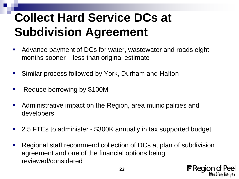### **Collect Hard Service DCs at Subdivision Agreement**

- Advance payment of DCs for water, wastewater and roads eight months sooner – less than original estimate
- Similar process followed by York, Durham and Halton
- **Reduce borrowing by \$100M**
- **Administrative impact on the Region, area municipalities and** developers
- 2.5 FTEs to administer \$300K annually in tax supported budget
- Regional staff recommend collection of DCs at plan of subdivision agreement and one of the financial options being reviewed/considered

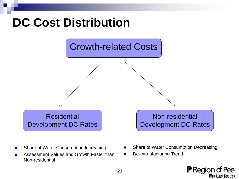#### **DC Cost Distribution**



- **Barktary Share of Water Consumption Increasing**
- Assessment Values and Growth Faster than Non-residential
- Share of Water Consumption Decreasing
- **De-manufacturing Trend**

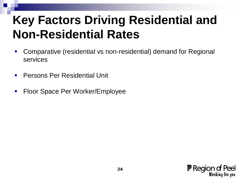#### **Key Factors Driving Residential and Non-Residential Rates**

- Comparative (residential vs non-residential) demand for Regional services
- Persons Per Residential Unit
- **Floor Space Per Worker/Employee**

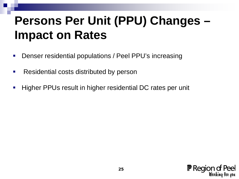#### **Persons Per Unit (PPU) Changes – Impact on Rates**

- **Denser residential populations / Peel PPU's increasing**
- **Residential costs distributed by person**
- **Higher PPUs result in higher residential DC rates per unit**

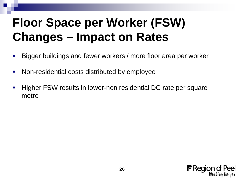### **Floor Space per Worker (FSW) Changes – Impact on Rates**

- Bigger buildings and fewer workers / more floor area per worker
- Non-residential costs distributed by employee
- **Higher FSW results in lower-non residential DC rate per square** metre

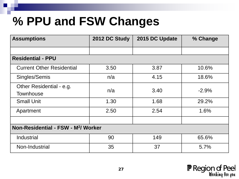#### **% PPU and FSW Changes**

| <b>Assumptions</b>                              | 2012 DC Study | 2015 DC Update | % Change |  |  |  |  |
|-------------------------------------------------|---------------|----------------|----------|--|--|--|--|
|                                                 |               |                |          |  |  |  |  |
| <b>Residential - PPU</b>                        |               |                |          |  |  |  |  |
| <b>Current Other Residential</b>                | 3.50          | 3.87           | 10.6%    |  |  |  |  |
| Singles/Semis                                   | n/a           | 4.15           | 18.6%    |  |  |  |  |
| Other Residential - e.g.<br><b>Townhouse</b>    | n/a           | 3.40           | $-2.9%$  |  |  |  |  |
| <b>Small Unit</b>                               | 1.30          | 1.68           | 29.2%    |  |  |  |  |
| Apartment                                       | 2.50          | 2.54           | 1.6%     |  |  |  |  |
|                                                 |               |                |          |  |  |  |  |
| Non-Residential - FSW - M <sup>2</sup> / Worker |               |                |          |  |  |  |  |
| Industrial                                      | 90            | 149            | 65.6%    |  |  |  |  |
| Non-Industrial                                  | 35            | 37             | 5.7%     |  |  |  |  |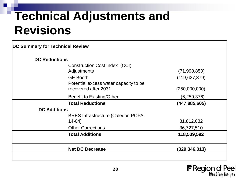#### **Technical Adjustments and Revisions**

| <b>DC Reductions</b><br>Construction Cost Index (CCI)<br>Adjustments<br><b>GE Booth</b><br>Potential excess water capacity to be | (71, 998, 850)<br>(119, 627, 379) |
|----------------------------------------------------------------------------------------------------------------------------------|-----------------------------------|
|                                                                                                                                  |                                   |
|                                                                                                                                  |                                   |
|                                                                                                                                  |                                   |
|                                                                                                                                  |                                   |
| recovered after 2031                                                                                                             | (250,000,000)                     |
| <b>Benefit to Existing/Other</b>                                                                                                 | (6, 259, 376)                     |
| <b>Total Reductions</b>                                                                                                          | (447, 885, 605)                   |
|                                                                                                                                  |                                   |
| <b>BRES Infrastructure (Caledon POPA-</b>                                                                                        |                                   |
| $14-04)$                                                                                                                         | 81,812,082                        |
| <b>Other Corrections</b>                                                                                                         | 36,727,510                        |
| <b>Total Additions</b>                                                                                                           | 118,539,592                       |
| <b>Net DC Decrease</b>                                                                                                           | (329,346,013)                     |
|                                                                                                                                  | <b>DC Additions</b>               |

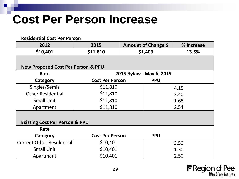#### **Cost Per Person Increase**

#### **Residential Cost Per Person 2012 2015 Amount of Change \$ % Increase \$10,401 \$11,810 \$1,409 13.5% New Proposed Cost Per Person & PPU Rate 2015 Bylaw - May 6, 2015 Category Cost Per Person PPU** Singles/Semis | \$11,810 | 4.15 3.40 1.68 2.54 Other Residential | \$11,810 Small Unit  $$11,810$ Apartment | \$11,810 **Existing Cost Per Person & PPU Rate Category Cost Per Person PPU** Current Other Residential  $\vert$  \$10,401  $\vert$  3.50 1.30 2.50 Small Unit  $\qquad \qquad$  \$10,401 Apartment  $\qquad \qquad$  \$10,401

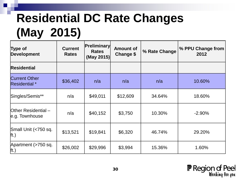## **Residential DC Rate Changes (May 2015)**

| Type of<br>Development                       | <b>Current</b><br><b>Rates</b> | <b>Preliminary</b><br><b>Rates</b><br>(May 2015) | <b>Amount of</b><br><b>Change \$</b> | % Rate Change | % PPU Change from<br>2012 |
|----------------------------------------------|--------------------------------|--------------------------------------------------|--------------------------------------|---------------|---------------------------|
| <b>Residential</b>                           |                                |                                                  |                                      |               |                           |
| <b>Current Other</b><br><b>Residential</b> * | \$36,402                       | n/a                                              | n/a                                  | n/a           | 10.60%                    |
| Singles/Semis**                              | n/a                            | \$49,011                                         | \$12,609                             | 34.64%        | 18.60%                    |
| Other Residential-<br>e.g. Townhouse         | n/a                            | \$40,152                                         | \$3,750                              | 10.30%        | $-2.90%$                  |
| Small Unit (<750 sq.<br>$\vert$ ft.)         | \$13,521                       | \$19,841                                         | \$6,320                              | 46.74%        | 29.20%                    |
| Apartment (>750 sq.<br>$\vert$ ft.)          | \$26,002                       | \$29,996                                         | \$3,994                              | 15.36%        | 1.60%                     |

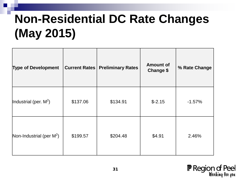### **Non-Residential DC Rate Changes (May 2015)**

| <b>Type of Development</b>  |          | <b>Current Rates   Preliminary Rates</b> | <b>Amount of</b><br><b>Change \$</b> | % Rate Change |
|-----------------------------|----------|------------------------------------------|--------------------------------------|---------------|
| Industrial (per. $M^2$ )    | \$137.06 | \$134.91                                 | $$-2.15$                             | $-1.57%$      |
| Non-Industrial (per $M^2$ ) | \$199.57 | \$204.48                                 | \$4.91                               | 2.46%         |

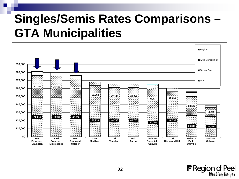#### **Singles/Semis Rates Comparisons – GTA Municipalities**



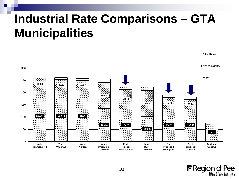#### **Industrial Rate Comparisons – GTA Municipalities**



**F** Region of Peel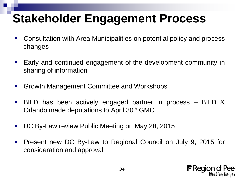#### **Stakeholder Engagement Process**

- Consultation with Area Municipalities on potential policy and process changes
- **Early and continued engagement of the development community in** sharing of information
- **Growth Management Committee and Workshops**
- BILD has been actively engaged partner in process BILD & Orlando made deputations to April 30<sup>th</sup> GMC
- DC By-Law review Public Meeting on May 28, 2015
- **Present new DC By-Law to Regional Council on July 9, 2015 for** consideration and approval

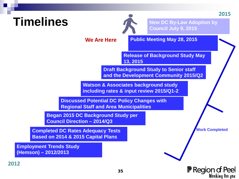#### **Timelines**



**New DC By-Law Adoption by Council July 9, 2015**

**Work Completed** 

**F** Region of Peel

Wonking fon you

**2015**

**We Are Here** 

**Public Meeting May 28, 2015** 

**Release of Background Study May 13, 2015** 

**Draft Background Study to Senior staff and the Development Community 2015/Q2**

**Watson & Associates background study including rates & input review 2015/Q1-2**

**Discussed Potential DC Policy Changes with Regional Staff and Area Municipalities**

**Began 2015 DC Background Study per Council Direction – 2014/Q3** 

**Completed DC Rates Adequacy Tests Based on 2014 & 2015 Capital Plans**

**Employment Trends Study (Hemson) – 2012/2013**

**2012**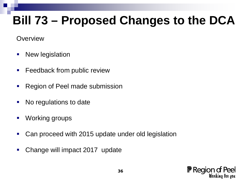#### **Bill 73 – Proposed Changes to the DCA**

**Overview** 

- **New legislation**
- **Feedback from public review**
- **Region of Peel made submission**
- No regulations to date
- **Working groups**
- Can proceed with 2015 update under old legislation
- **-** Change will impact 2017 update

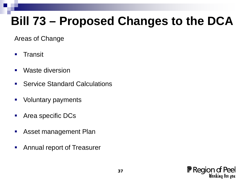#### **Bill 73 – Proposed Changes to the DCA**

Areas of Change

- **Transit**
- Waste diversion
- **Service Standard Calculations**
- **Voluntary payments**
- **Area specific DCs**
- **Asset management Plan**
- **Annual report of Treasurer**

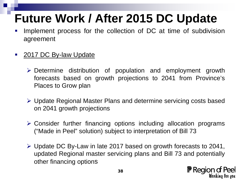### **Future Work / After 2015 DC Update**

- Implement process for the collection of DC at time of subdivision agreement
- 2017 DC By-law Update
	- Determine distribution of population and employment growth forecasts based on growth projections to 2041 from Province's Places to Grow plan
	- Update Regional Master Plans and determine servicing costs based on 2041 growth projections
	- Consider further financing options including allocation programs ("Made in Peel" solution) subject to interpretation of Bill 73
	- Update DC By-Law in late 2017 based on growth forecasts to 2041, updated Regional master servicing plans and Bill 73 and potentially other financing options

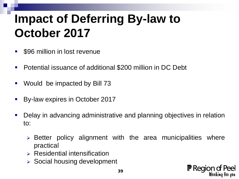#### **Impact of Deferring By-law to October 2017**

- **S96 million in lost revenue**
- **Potential issuance of additional \$200 million in DC Debt**
- Would be impacted by Bill 73
- By-law expires in October 2017
- **-** Delay in advancing administrative and planning objectives in relation to:
	- $\triangleright$  Better policy alignment with the area municipalities where practical
	- $\triangleright$  Residential intensification
	- $\triangleright$  Social housing development

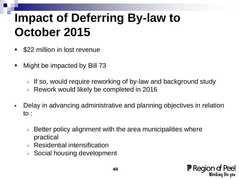#### **Impact of Deferring By-law to October 2015**

- **S22 million in lost revenue**
- Might be impacted by Bill 73
	- If so, would require reworking of by-law and background study
	- Rework would likely be completed in 2016
- Delay in advancing administrative and planning objectives in relation to :
	- Better policy alignment with the area municipalities where practical
	- $\triangleright$  Residential intensification
	- $\triangleright$  Social housing development

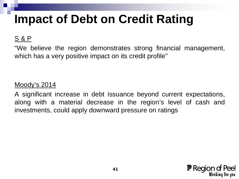#### **Impact of Debt on Credit Rating**

#### S & P

"We believe the region demonstrates strong financial management, which has a very positive impact on its credit profile"

#### Moody's 2014

A significant increase in debt issuance beyond current expectations, along with a material decrease in the region's level of cash and investments, could apply downward pressure on ratings